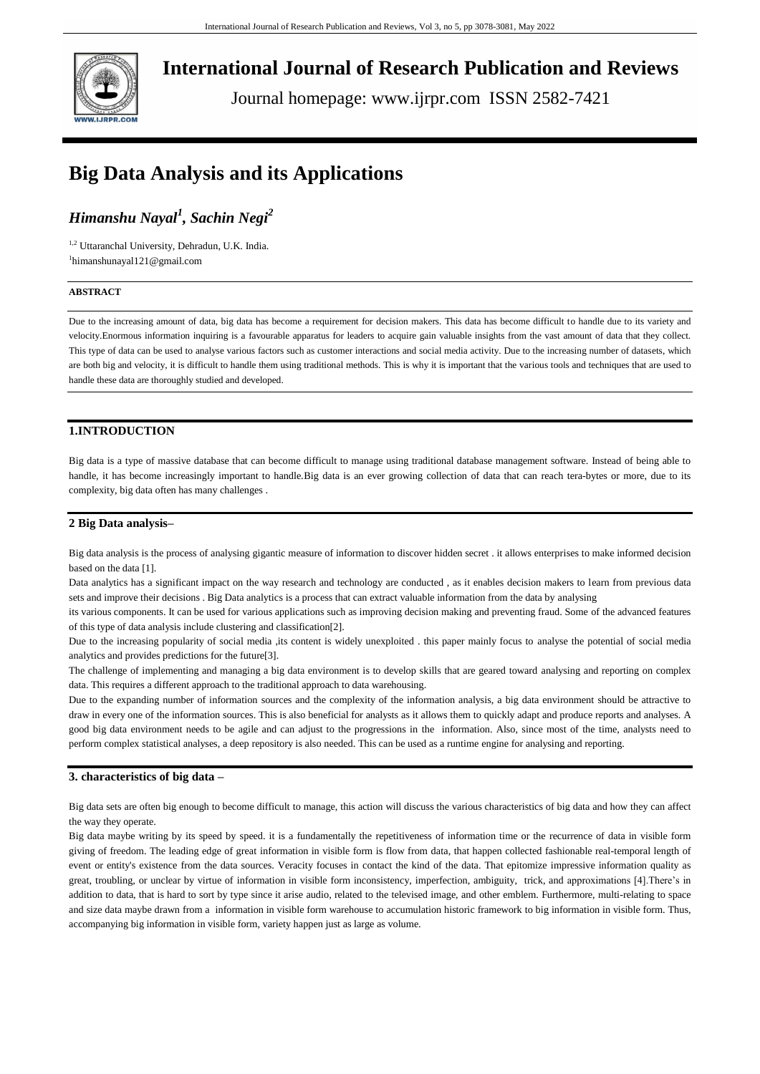

**International Journal of Research Publication and Reviews**

Journal homepage: www.ijrpr.com ISSN 2582-7421

# **Big Data Analysis and its Applications**

# *Himanshu Nayal<sup>1</sup> , Sachin Negi<sup>2</sup>*

1,2 Uttaranchal University, Dehradun, U.K. India. 1 [himanshunayal121@gmail.com](mailto:himanshunayal121@gmail.com,)

# **ABSTRACT**

Due to the increasing amount of data, big data has become a requirement for decision makers. This data has become difficult to handle due to its variety and velocity.Enormous information inquiring is a favourable apparatus for leaders to acquire gain valuable insights from the vast amount of data that they collect. This type of data can be used to analyse various factors such as customer interactions and social media activity. Due to the increasing number of datasets, which are both big and velocity, it is difficult to handle them using traditional methods. This is why it is important that the various tools and techniques that are used to handle these data are thoroughly studied and developed.

# **1.INTRODUCTION**

Big data is a type of massive database that can become difficult to manage using traditional database management software. Instead of being able to handle, it has become increasingly important to handle.Big data is an ever growing collection of data that can reach tera-bytes or more, due to its complexity, big data often has many challenges .

### **2 Big Data analysis–**

Big data analysis is the process of analysing gigantic measure of information to discover hidden secret . it allows enterprises to make informed decision based on the data [1].

Data analytics has a significant impact on the way research and technology are conducted , as it enables decision makers to learn from previous data sets and improve their decisions . Big Data analytics is a process that can extract valuable information from the data by analysing

its various components. It can be used for various applications such as improving decision making and preventing fraud. Some of the advanced features of this type of data analysis include clustering and classification[2].

Due to the increasing popularity of social media ,its content is widely unexploited . this paper mainly focus to analyse the potential of social media analytics and provides predictions for the future[3].

The challenge of implementing and managing a big data environment is to develop skills that are geared toward analysing and reporting on complex data. This requires a different approach to the traditional approach to data warehousing.

Due to the expanding number of information sources and the complexity of the information analysis, a big data environment should be attractive to draw in every one of the information sources. This is also beneficial for analysts as it allows them to quickly adapt and produce reports and analyses. A good big data environment needs to be agile and can adjust to the progressions in the information. Also, since most of the time, analysts need to perform complex statistical analyses, a deep repository is also needed. This can be used as a runtime engine for analysing and reporting.

# **3. characteristics of big data –**

Big data sets are often big enough to become difficult to manage, this action will discuss the various characteristics of big data and how they can affect the way they operate.

Big data maybe writing by its speed by speed. it is a fundamentally the repetitiveness of information time or the recurrence of data in visible form giving of freedom. The leading edge of great information in visible form is flow from data, that happen collected fashionable real-temporal length of event or entity's existence from the data sources. Veracity focuses in contact the kind of the data. That epitomize impressive information quality as great, troubling, or unclear by virtue of information in visible form inconsistency, imperfection, ambiguity, trick, and approximations [4].There's in addition to data, that is hard to sort by type since it arise audio, related to the televised image, and other emblem. Furthermore, multi-relating to space and size data maybe drawn from a information in visible form warehouse to accumulation historic framework to big information in visible form. Thus, accompanying big information in visible form, variety happen just as large as volume.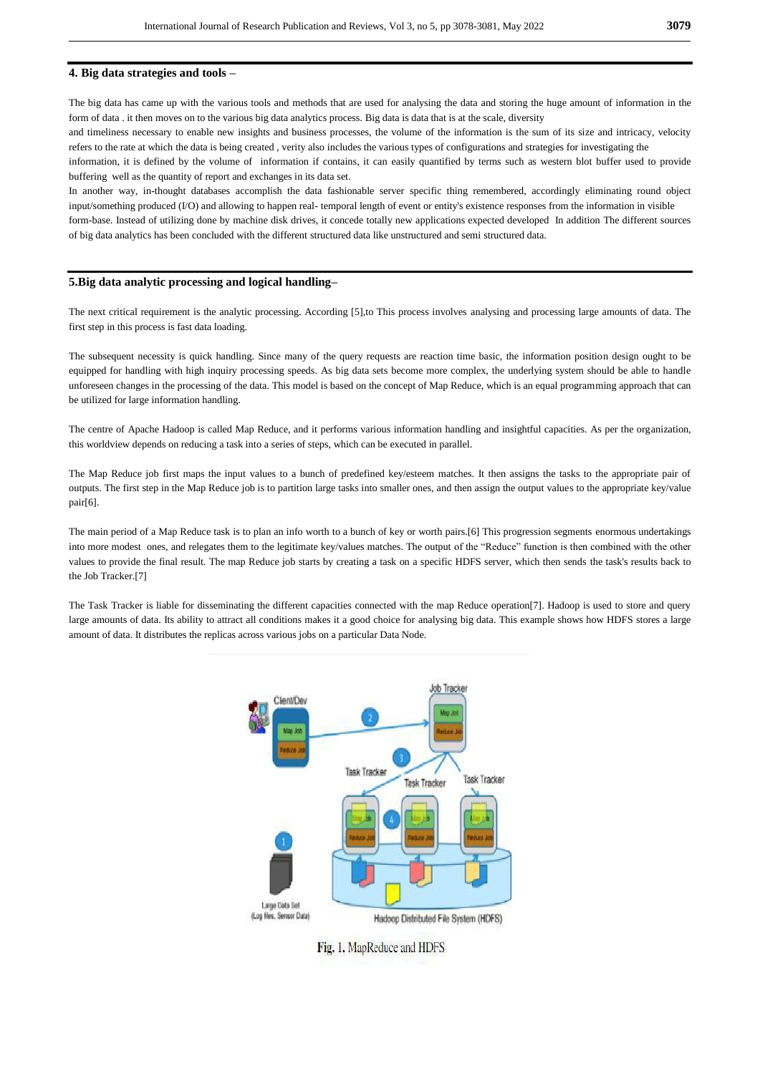#### **4. Big data strategies and tools –**

The big data has came up with the various tools and methods that are used for analysing the data and storing the huge amount of information in the form of data . it then moves on to the various big data analytics process. Big data is data that is at the scale, diversity

and timeliness necessary to enable new insights and business processes, the volume of the information is the sum of its size and intricacy, velocity refers to the rate at which the data is being created , verity also includes the various types of configurations and strategies for investigating the

information, it is defined by the volume of information if contains, it can easily quantified by terms such as western blot buffer used to provide buffering well as the quantity of report and exchanges in its data set.

In another way, in-thought databases accomplish the data fashionable server specific thing remembered, accordingly eliminating round object input/something produced (I/O) and allowing to happen real- temporal length of event or entity's existence responses from the information in visible form-base. Instead of utilizing done by machine disk drives, it concede totally new applications expected developed In addition The different sources of big data analytics has been concluded with the different structured data like unstructured and semi structured data.

#### **5.Big data analytic processing and logical handling–**

The next critical requirement is the analytic processing. According [5],to This process involves analysing and processing large amounts of data. The first step in this process is fast data loading.

The subsequent necessity is quick handling. Since many of the query requests are reaction time basic, the information position design ought to be equipped for handling with high inquiry processing speeds. As big data sets become more complex, the underlying system should be able to handle unforeseen changes in the processing of the data. This model is based on the concept of Map Reduce, which is an equal programming approach that can be utilized for large information handling.

The centre of Apache Hadoop is called Map Reduce, and it performs various information handling and insightful capacities. As per the organization, this worldview depends on reducing a task into a series of steps, which can be executed in parallel.

The Map Reduce job first maps the input values to a bunch of predefined key/esteem matches. It then assigns the tasks to the appropriate pair of outputs. The first step in the Map Reduce job is to partition large tasks into smaller ones, and then assign the output values to the appropriate key/value pair[6].

The main period of a Map Reduce task is to plan an info worth to a bunch of key or worth pairs.[6] This progression segments enormous undertakings into more modest ones, and relegates them to the legitimate key/values matches. The output of the "Reduce" function is then combined with the other values to provide the final result. The map Reduce job starts by creating a task on a specific HDFS server, which then sends the task's results back to the Job Tracker.[7]

The Task Tracker is liable for disseminating the different capacities connected with the map Reduce operation[7]. Hadoop is used to store and query large amounts of data. Its ability to attract all conditions makes it a good choice for analysing big data. This example shows how HDFS stores a large amount of data. It distributes the replicas across various jobs on a particular Data Node.



Fig. 1. MapReduce and HDFS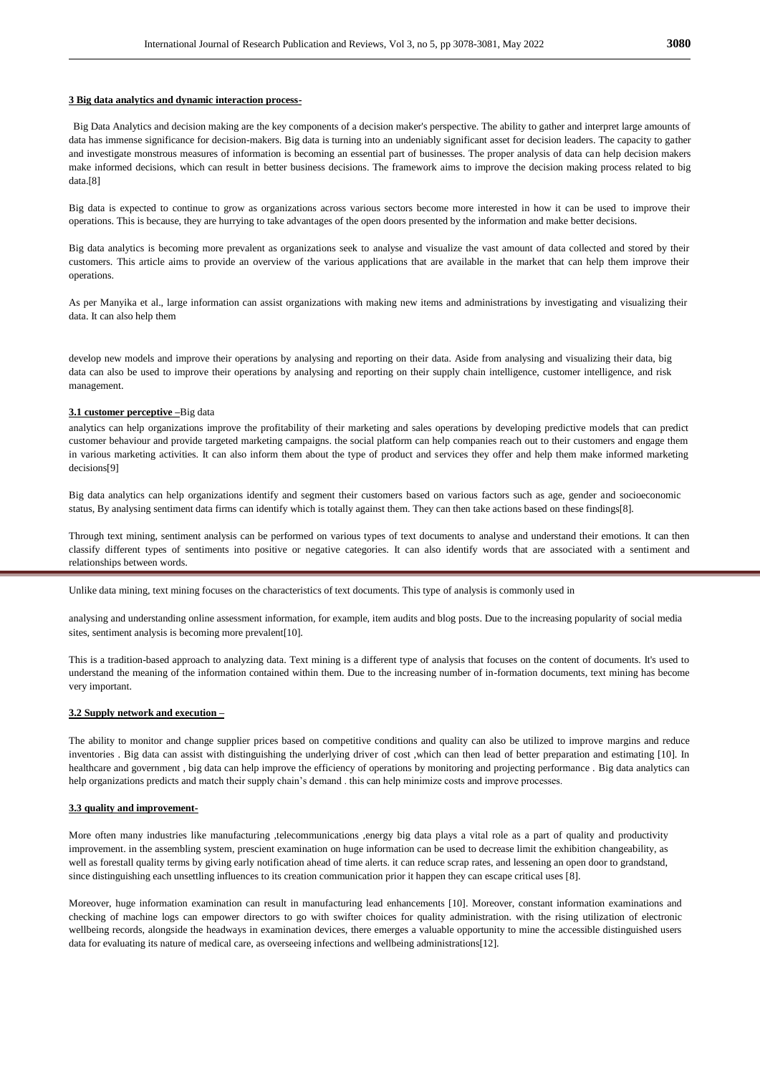#### **3 Big data analytics and dynamic interaction process-**

Big Data Analytics and decision making are the key components of a decision maker's perspective. The ability to gather and interpret large amounts of data has immense significance for decision-makers. Big data is turning into an undeniably significant asset for decision leaders. The capacity to gather and investigate monstrous measures of information is becoming an essential part of businesses. The proper analysis of data can help decision makers make informed decisions, which can result in better business decisions. The framework aims to improve the decision making process related to big data.[8]

Big data is expected to continue to grow as organizations across various sectors become more interested in how it can be used to improve their operations. This is because, they are hurrying to take advantages of the open doors presented by the information and make better decisions.

Big data analytics is becoming more prevalent as organizations seek to analyse and visualize the vast amount of data collected and stored by their customers. This article aims to provide an overview of the various applications that are available in the market that can help them improve their operations.

As per Manyika et al., large information can assist organizations with making new items and administrations by investigating and visualizing their data. It can also help them

develop new models and improve their operations by analysing and reporting on their data. Aside from analysing and visualizing their data, big data can also be used to improve their operations by analysing and reporting on their supply chain intelligence, customer intelligence, and risk management.

#### **3.1 customer perceptive –**Big data

analytics can help organizations improve the profitability of their marketing and sales operations by developing predictive models that can predict customer behaviour and provide targeted marketing campaigns. the social platform can help companies reach out to their customers and engage them in various marketing activities. It can also inform them about the type of product and services they offer and help them make informed marketing decisions[9]

Big data analytics can help organizations identify and segment their customers based on various factors such as age, gender and socioeconomic status, By analysing sentiment data firms can identify which is totally against them. They can then take actions based on these findings[8].

Through text mining, sentiment analysis can be performed on various types of text documents to analyse and understand their emotions. It can then classify different types of sentiments into positive or negative categories. It can also identify words that are associated with a sentiment and relationships between words.

Unlike data mining, text mining focuses on the characteristics of text documents. This type of analysis is commonly used in

analysing and understanding online assessment information, for example, item audits and blog posts. Due to the increasing popularity of social media sites, sentiment analysis is becoming more prevalent[10].

This is a tradition-based approach to analyzing data. Text mining is a different type of analysis that focuses on the content of documents. It's used to understand the meaning of the information contained within them. Due to the increasing number of in-formation documents, text mining has become very important.

#### **3.2 Supply network and execution –**

The ability to monitor and change supplier prices based on competitive conditions and quality can also be utilized to improve margins and reduce inventories . Big data can assist with distinguishing the underlying driver of cost ,which can then lead of better preparation and estimating [10]. In healthcare and government , big data can help improve the efficiency of operations by monitoring and projecting performance . Big data analytics can help organizations predicts and match their supply chain's demand . this can help minimize costs and improve processes.

#### **3.3 quality and improvement-**

More often many industries like manufacturing ,telecommunications ,energy big data plays a vital role as a part of quality and productivity improvement. in the assembling system, prescient examination on huge information can be used to decrease limit the exhibition changeability, as well as forestall quality terms by giving early notification ahead of time alerts. it can reduce scrap rates, and lessening an open door to grandstand, since distinguishing each unsettling influences to its creation communication prior it happen they can escape critical uses [8].

Moreover, huge information examination can result in manufacturing lead enhancements [10]. Moreover, constant information examinations and checking of machine logs can empower directors to go with swifter choices for quality administration. with the rising utilization of electronic wellbeing records, alongside the headways in examination devices, there emerges a valuable opportunity to mine the accessible distinguished users data for evaluating its nature of medical care, as overseeing infections and wellbeing administrations[12].